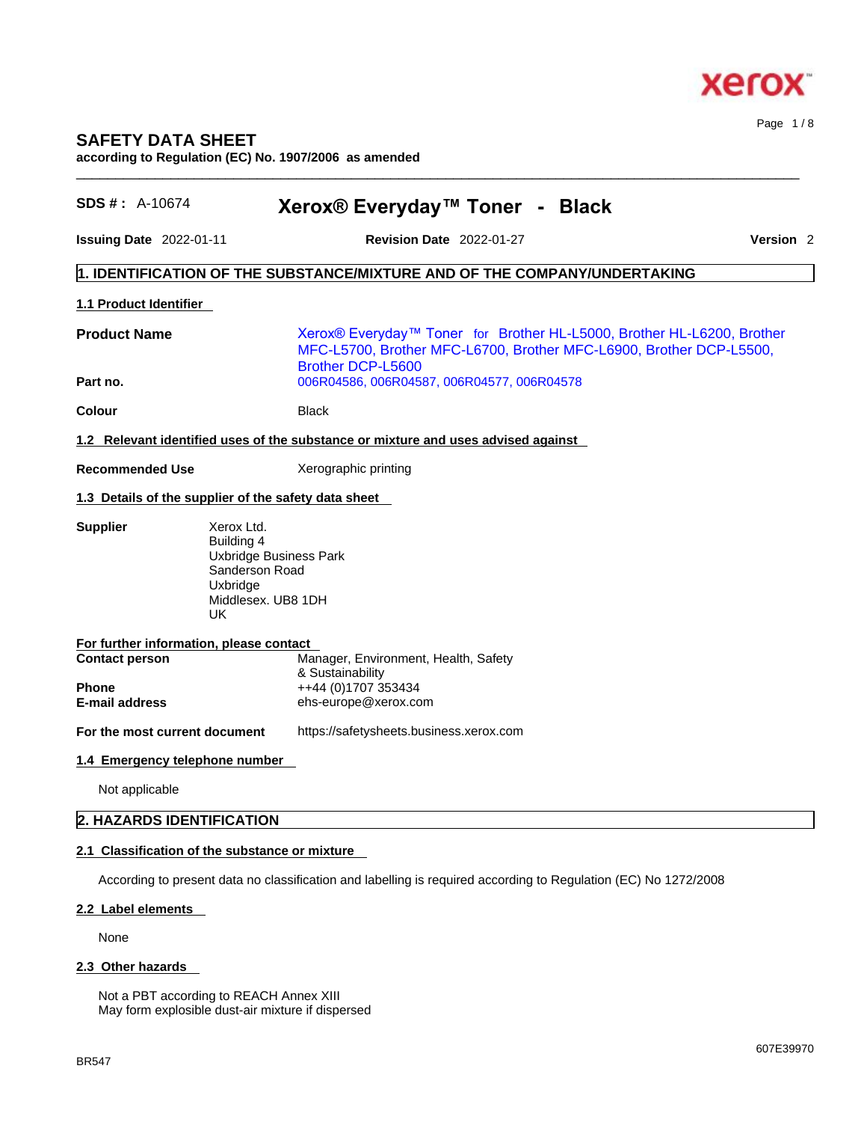

# **SAFETY DATA SHEET**

**according to Regulation (EC) No. 1907/2006 as amended** 

| <b>SDS #: A-10674</b>                          | Xerox® Everyday™ Toner - Black                                                                                                                                            |                      |
|------------------------------------------------|---------------------------------------------------------------------------------------------------------------------------------------------------------------------------|----------------------|
| <b>Issuing Date</b> $2022-01-11$               | <b>Revision Date 2022-01-27</b>                                                                                                                                           | Version <sub>2</sub> |
|                                                | $\vert$ 1. IDENTIFICATION OF THE SUBSTANCE/MIXTURE AND OF THE COMPANY/UNDERTAKING                                                                                         |                      |
| <b>1.1 Product Identifier</b>                  |                                                                                                                                                                           |                      |
| <b>Product Name</b>                            | Xerox® Everyday™ Toner for Brother HL-L5000, Brother HL-L6200, Brother<br>MFC-L5700, Brother MFC-L6700, Brother MFC-L6900, Brother DCP-L5500,<br><b>Brother DCP-L5600</b> |                      |
| Part no.                                       | 006R04586, 006R04587, 006R04577, 006R04578                                                                                                                                |                      |
| <b>Colour</b>                                  | Black                                                                                                                                                                     |                      |
|                                                | 1.2 Relevant identified uses of the substance or mixture and uses advised against                                                                                         |                      |
| <b>Recommended Use</b>                         | Xerographic printing                                                                                                                                                      |                      |
|                                                | 1.3 Details of the supplier of the safety data sheet                                                                                                                      |                      |
| UK.                                            | Building 4<br>Uxbridge Business Park<br>Sanderson Road<br>Uxbridge<br>Middlesex. UB8 1DH                                                                                  |                      |
| For further information, please contact        |                                                                                                                                                                           |                      |
| <b>Contact person</b>                          | Manager, Environment, Health, Safety<br>& Sustainability                                                                                                                  |                      |
| <b>Phone</b><br><b>E-mail address</b>          | ++44 (0)1707 353434<br>ehs-europe@xerox.com                                                                                                                               |                      |
| For the most current document                  | https://safetysheets.business.xerox.com                                                                                                                                   |                      |
| 1.4 Emergency telephone number                 |                                                                                                                                                                           |                      |
| Not applicable                                 |                                                                                                                                                                           |                      |
| 2. HAZARDS IDENTIFICATION                      |                                                                                                                                                                           |                      |
| 2.1 Classification of the substance or mixture |                                                                                                                                                                           |                      |
|                                                | According to present data no classification and labelling is required according to Regulation (EC) No 1272/2008                                                           |                      |
|                                                |                                                                                                                                                                           |                      |
| 2.2 Label elements                             |                                                                                                                                                                           |                      |

 $\_$  ,  $\_$  ,  $\_$  ,  $\_$  ,  $\_$  ,  $\_$  ,  $\_$  ,  $\_$  ,  $\_$  ,  $\_$  ,  $\_$  ,  $\_$  ,  $\_$  ,  $\_$  ,  $\_$  ,  $\_$  ,  $\_$  ,  $\_$  ,  $\_$  ,  $\_$  ,  $\_$  ,  $\_$  ,  $\_$  ,  $\_$  ,  $\_$  ,  $\_$  ,  $\_$  ,  $\_$  ,  $\_$  ,  $\_$  ,  $\_$  ,  $\_$  ,  $\_$  ,  $\_$  ,  $\_$  ,  $\_$  ,  $\_$  ,

None

# **2.3 Other hazards**

Not a PBT according to REACH Annex XIII May form explosible dust-air mixture if dispersed Page 1 / 8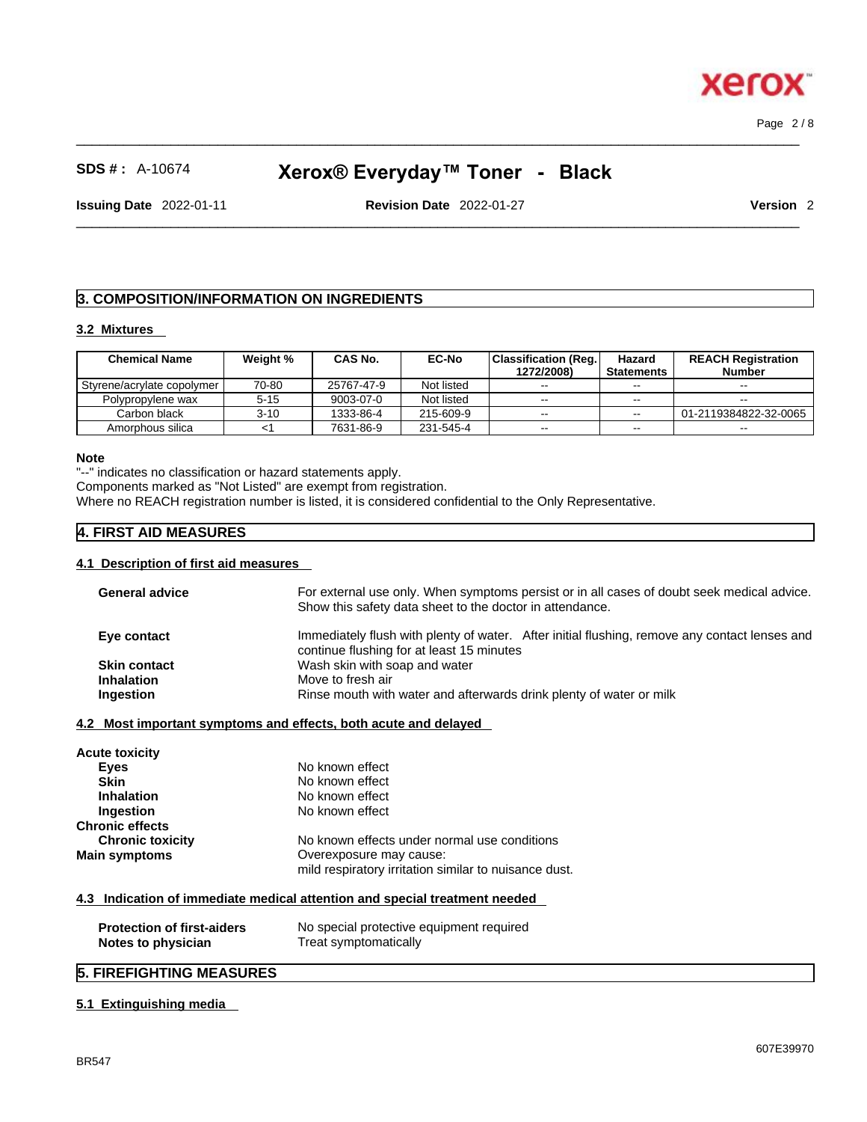$\_$  ,  $\_$  ,  $\_$  ,  $\_$  ,  $\_$  ,  $\_$  ,  $\_$  ,  $\_$  ,  $\_$  ,  $\_$  ,  $\_$  ,  $\_$  ,  $\_$  ,  $\_$  ,  $\_$  ,  $\_$  ,  $\_$  ,  $\_$  ,  $\_$  ,  $\_$  ,  $\_$  ,  $\_$  ,  $\_$  ,  $\_$  ,  $\_$  ,  $\_$  ,  $\_$  ,  $\_$  ,  $\_$  ,  $\_$  ,  $\_$  ,  $\_$  ,  $\_$  ,  $\_$  ,  $\_$  ,  $\_$  ,  $\_$  , Page 2 / 8

ĸ

**xero** 

# **SDS # :** A-10674 **Xerox® Everyday™ Toner - Black**

 $\_$  ,  $\_$  ,  $\_$  ,  $\_$  ,  $\_$  ,  $\_$  ,  $\_$  ,  $\_$  ,  $\_$  ,  $\_$  ,  $\_$  ,  $\_$  ,  $\_$  ,  $\_$  ,  $\_$  ,  $\_$  ,  $\_$  ,  $\_$  ,  $\_$  ,  $\_$  ,  $\_$  ,  $\_$  ,  $\_$  ,  $\_$  ,  $\_$  ,  $\_$  ,  $\_$  ,  $\_$  ,  $\_$  ,  $\_$  ,  $\_$  ,  $\_$  ,  $\_$  ,  $\_$  ,  $\_$  ,  $\_$  ,  $\_$  ,

**Issuing Date** 2022-01-11 **Revision Date** 2022-01-27 **Version** 2

# **3. COMPOSITION/INFORMATION ON INGREDIENTS**

#### **3.2 Mixtures**

| <b>Chemical Name</b>       | Weight % | <b>CAS No.</b> | <b>EC-No</b> | <b>Classification (Reg.)</b> | Hazard            | <b>REACH Registration</b> |
|----------------------------|----------|----------------|--------------|------------------------------|-------------------|---------------------------|
|                            |          |                |              | 1272/2008)                   | <b>Statements</b> | <b>Number</b>             |
| Styrene/acrylate copolymer | 70-80    | 25767-47-9     | Not listed   | $- -$                        | $- -$             | $- -$                     |
| Polypropylene wax          | 5-15     | 9003-07-0      | Not listed   | $- -$                        | $- -$             | $- -$                     |
| Carbon black               | $3 - 10$ | 1333-86-4      | 215-609-9    | $- -$                        | $-1$              | 01-2119384822-32-0065     |
| Amorphous silica           |          | 7631-86-9      | 231-545-4    | $- -$                        | $\sim$ $\sim$     | $- -$                     |

#### **Note**

"--" indicates no classification or hazard statements apply.

Components marked as "Not Listed" are exempt from registration.

Where no REACH registration number is listed, it is considered confidential to the Only Representative.

## **4. FIRST AID MEASURES**

#### **4.1 Description of first aid measures**

| <b>General advice</b>             | For external use only. When symptoms persist or in all cases of doubt seek medical advice.<br>Show this safety data sheet to the doctor in attendance. |
|-----------------------------------|--------------------------------------------------------------------------------------------------------------------------------------------------------|
| Eye contact                       | Immediately flush with plenty of water. After initial flushing, remove any contact lenses and                                                          |
|                                   | continue flushing for at least 15 minutes                                                                                                              |
| <b>Skin contact</b>               | Wash skin with soap and water                                                                                                                          |
| <b>Inhalation</b>                 | Move to fresh air                                                                                                                                      |
| Ingestion                         | Rinse mouth with water and afterwards drink plenty of water or milk                                                                                    |
| Acute toxicity                    | 4.2 Most important symptoms and effects, both acute and delayed                                                                                        |
| Eyes                              | No known effect                                                                                                                                        |
| <b>Skin</b>                       | No known effect                                                                                                                                        |
| <b>Inhalation</b>                 | No known effect                                                                                                                                        |
| Ingestion                         | No known effect                                                                                                                                        |
| <b>Chronic effects</b>            |                                                                                                                                                        |
| <b>Chronic toxicity</b>           | No known effects under normal use conditions                                                                                                           |
| <b>Main symptoms</b>              | Overexposure may cause:                                                                                                                                |
|                                   | mild respiratory irritation similar to nuisance dust.                                                                                                  |
|                                   | 4.3 Indication of immediate medical attention and special treatment needed                                                                             |
| <b>Protection of first-aiders</b> | No special protective equipment required                                                                                                               |
| Notes to physician                | Treat symptomatically                                                                                                                                  |

# **5. FIREFIGHTING MEASURES**

#### **5.1 Extinguishing media**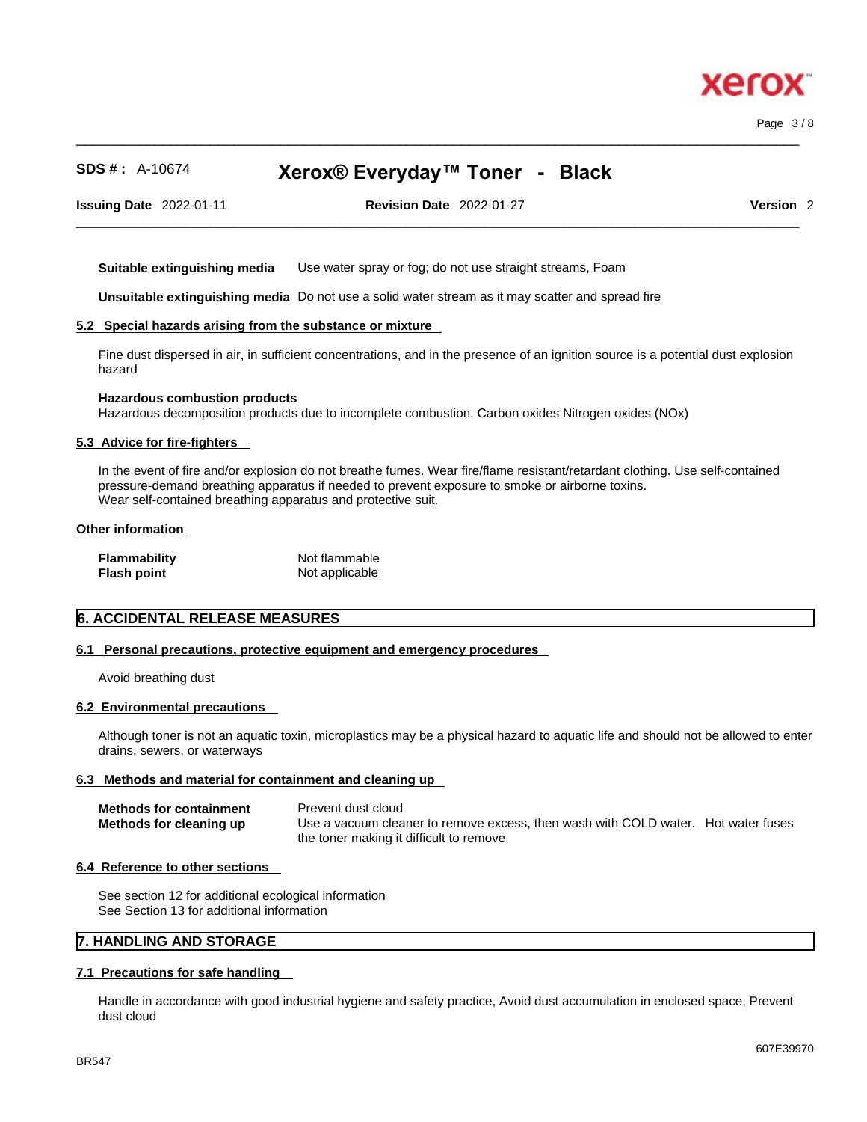

Page 3 / 8

# **SDS # :** A-10674 **Xerox® Everyday™ Toner - Black**

 $\_$  ,  $\_$  ,  $\_$  ,  $\_$  ,  $\_$  ,  $\_$  ,  $\_$  ,  $\_$  ,  $\_$  ,  $\_$  ,  $\_$  ,  $\_$  ,  $\_$  ,  $\_$  ,  $\_$  ,  $\_$  ,  $\_$  ,  $\_$  ,  $\_$  ,  $\_$  ,  $\_$  ,  $\_$  ,  $\_$  ,  $\_$  ,  $\_$  ,  $\_$  ,  $\_$  ,  $\_$  ,  $\_$  ,  $\_$  ,  $\_$  ,  $\_$  ,  $\_$  ,  $\_$  ,  $\_$  ,  $\_$  ,  $\_$  ,

**Issuing Date** 2022-01-11 **Revision Date** 2022-01-27 **Version** 2

 $\_$  ,  $\_$  ,  $\_$  ,  $\_$  ,  $\_$  ,  $\_$  ,  $\_$  ,  $\_$  ,  $\_$  ,  $\_$  ,  $\_$  ,  $\_$  ,  $\_$  ,  $\_$  ,  $\_$  ,  $\_$  ,  $\_$  ,  $\_$  ,  $\_$  ,  $\_$  ,  $\_$  ,  $\_$  ,  $\_$  ,  $\_$  ,  $\_$  ,  $\_$  ,  $\_$  ,  $\_$  ,  $\_$  ,  $\_$  ,  $\_$  ,  $\_$  ,  $\_$  ,  $\_$  ,  $\_$  ,  $\_$  ,  $\_$  ,

**Suitable extinguishing media** Use water spray or fog; do not use straight streams, Foam

**Unsuitable extinguishing media** Do not use a solid water stream as it may scatterand spread fire

#### **5.2 Special hazards arising from the substance or mixture**

Fine dust dispersed in air, in sufficient concentrations, and in the presence of an ignition source is a potential dust explosion hazard

#### **Hazardous combustion products**

Hazardous decomposition products due to incomplete combustion. Carbon oxides Nitrogen oxides (NOx)

#### **5.3 Advice for fire-fighters**

In the event of fire and/or explosion do not breathe fumes. Wear fire/flame resistant/retardant clothing. Use self-contained pressure-demand breathing apparatus if needed to prevent exposure to smoke or airborne toxins. Wear self-contained breathing apparatus and protective suit.

#### **Other information**

| Flammability | Not flammable  |
|--------------|----------------|
| Flash point  | Not applicable |

#### **6. ACCIDENTAL RELEASE MEASURES**

#### **6.1 Personal precautions, protective equipment and emergency procedures**

Avoid breathing dust

#### **6.2 Environmental precautions**

Although toner is not an aquatic toxin, microplastics may be a physical hazard to aquatic life and should not be allowed to enter drains, sewers, or waterways

#### **6.3 Methods and material for containment and cleaning up**

| <b>Methods for containment</b> | Prevent dust cloud                                                                |  |
|--------------------------------|-----------------------------------------------------------------------------------|--|
| Methods for cleaning up        | Use a vacuum cleaner to remove excess, then wash with COLD water. Hot water fuses |  |
|                                | the toner making it difficult to remove                                           |  |

#### **6.4 Reference to other sections**

See section 12 for additional ecological information See Section 13 for additional information

## **7. HANDLING AND STORAGE**

#### **7.1 Precautions for safe handling**

Handle in accordance with good industrial hygiene and safety practice, Avoid dust accumulation in enclosed space, Prevent dust cloud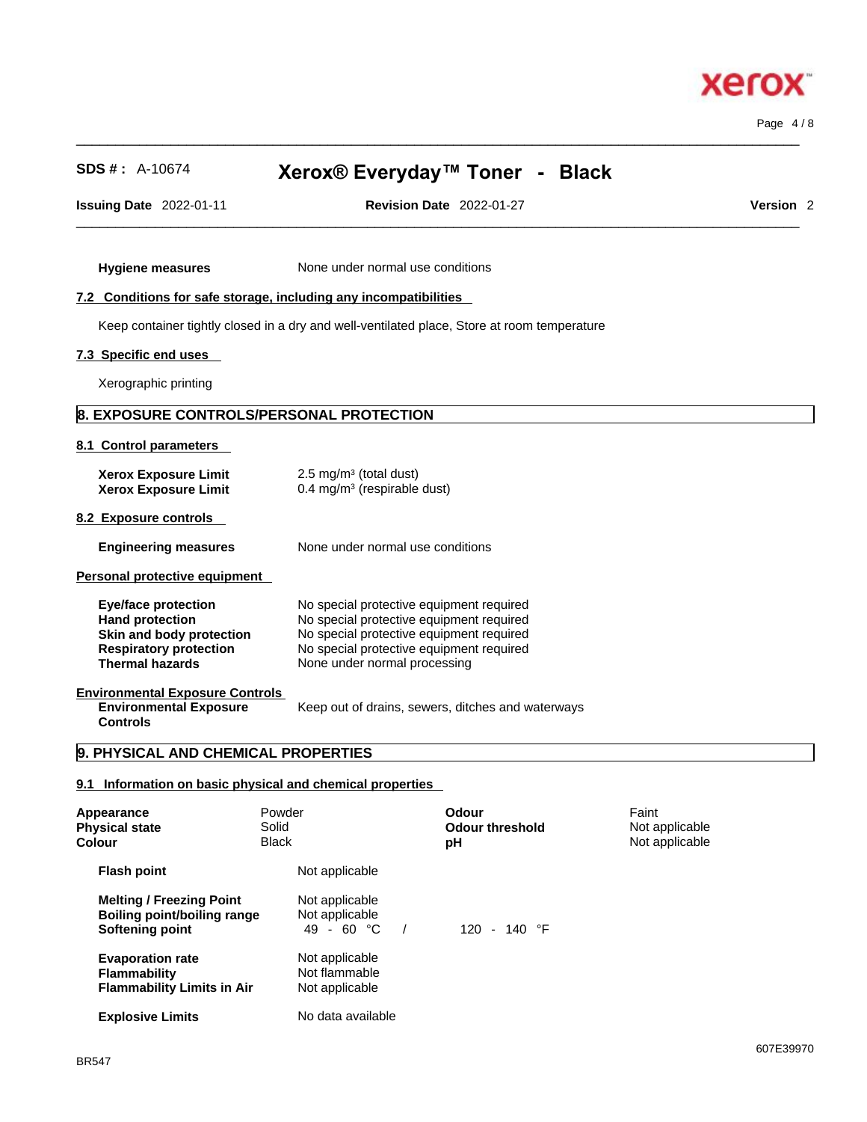$\_$  ,  $\_$  ,  $\_$  ,  $\_$  ,  $\_$  ,  $\_$  ,  $\_$  ,  $\_$  ,  $\_$  ,  $\_$  ,  $\_$  ,  $\_$  ,  $\_$  ,  $\_$  ,  $\_$  ,  $\_$  ,  $\_$  ,  $\_$  ,  $\_$  ,  $\_$  ,  $\_$  ,  $\_$  ,  $\_$  ,  $\_$  ,  $\_$  ,  $\_$  ,  $\_$  ,  $\_$  ,  $\_$  ,  $\_$  ,  $\_$  ,  $\_$  ,  $\_$  ,  $\_$  ,  $\_$  ,  $\_$  ,  $\_$  , **SDS # :** A-10674 **Xerox® Everyday™ Toner - Black**

 $\_$  ,  $\_$  ,  $\_$  ,  $\_$  ,  $\_$  ,  $\_$  ,  $\_$  ,  $\_$  ,  $\_$  ,  $\_$  ,  $\_$  ,  $\_$  ,  $\_$  ,  $\_$  ,  $\_$  ,  $\_$  ,  $\_$  ,  $\_$  ,  $\_$  ,  $\_$  ,  $\_$  ,  $\_$  ,  $\_$  ,  $\_$  ,  $\_$  ,  $\_$  ,  $\_$  ,  $\_$  ,  $\_$  ,  $\_$  ,  $\_$  ,  $\_$  ,  $\_$  ,  $\_$  ,  $\_$  ,  $\_$  ,  $\_$  ,

**Issuing Date** 2022-01-11 **Revision Date** 2022-01-27 **Version** 2

#### **7.2 Conditions for safe storage, including any incompatibilities**

**Hygiene measures** None under normal use conditions

Keep container tightly closed in a dry and well-ventilated place, Store at room temperature

#### **7.3 Specific end uses**

Xerographic printing

# **8. EXPOSURE CONTROLS/PERSONAL PROTECTION**

#### **8.1 Control parameters**

| <b>Xerox Exposure Limit</b><br><b>Xerox Exposure Limit</b>                                                                           | 2.5 mg/m <sup>3</sup> (total dust)<br>0.4 mg/m $3$ (respirable dust)                                                                                                                                         |
|--------------------------------------------------------------------------------------------------------------------------------------|--------------------------------------------------------------------------------------------------------------------------------------------------------------------------------------------------------------|
| 8.2 Exposure controls                                                                                                                |                                                                                                                                                                                                              |
| <b>Engineering measures</b>                                                                                                          | None under normal use conditions                                                                                                                                                                             |
| Personal protective equipment                                                                                                        |                                                                                                                                                                                                              |
| Eye/face protection<br><b>Hand protection</b><br>Skin and body protection<br><b>Respiratory protection</b><br><b>Thermal hazards</b> | No special protective equipment required<br>No special protective equipment required<br>No special protective equipment required<br>No special protective equipment required<br>None under normal processing |
| <b>Environmental Exposure Controls</b><br><b>Environmental Exposure</b><br><b>Controls</b>                                           | Keep out of drains, sewers, ditches and waterways                                                                                                                                                            |

#### **9. PHYSICAL AND CHEMICAL PROPERTIES**

## **9.1 Information on basic physical and chemical properties**

| Appearance<br><b>Physical state</b><br>Colour                                            | Powder<br>Solid<br><b>Black</b> |                                                          | Odour<br>Odour threshold<br>рH | Faint<br>Not applicable<br>Not applicable |  |
|------------------------------------------------------------------------------------------|---------------------------------|----------------------------------------------------------|--------------------------------|-------------------------------------------|--|
| <b>Flash point</b>                                                                       |                                 | Not applicable                                           |                                |                                           |  |
| <b>Melting / Freezing Point</b><br><b>Boiling point/boiling range</b><br>Softening point |                                 | Not applicable<br>Not applicable<br>49 - 60 $^{\circ}$ C | 120 - 140 $\degree$ F          |                                           |  |
| <b>Evaporation rate</b><br><b>Flammability</b><br><b>Flammability Limits in Air</b>      |                                 | Not applicable<br>Not flammable<br>Not applicable        |                                |                                           |  |
| <b>Explosive Limits</b>                                                                  |                                 | No data available                                        |                                |                                           |  |



Page 4 / 8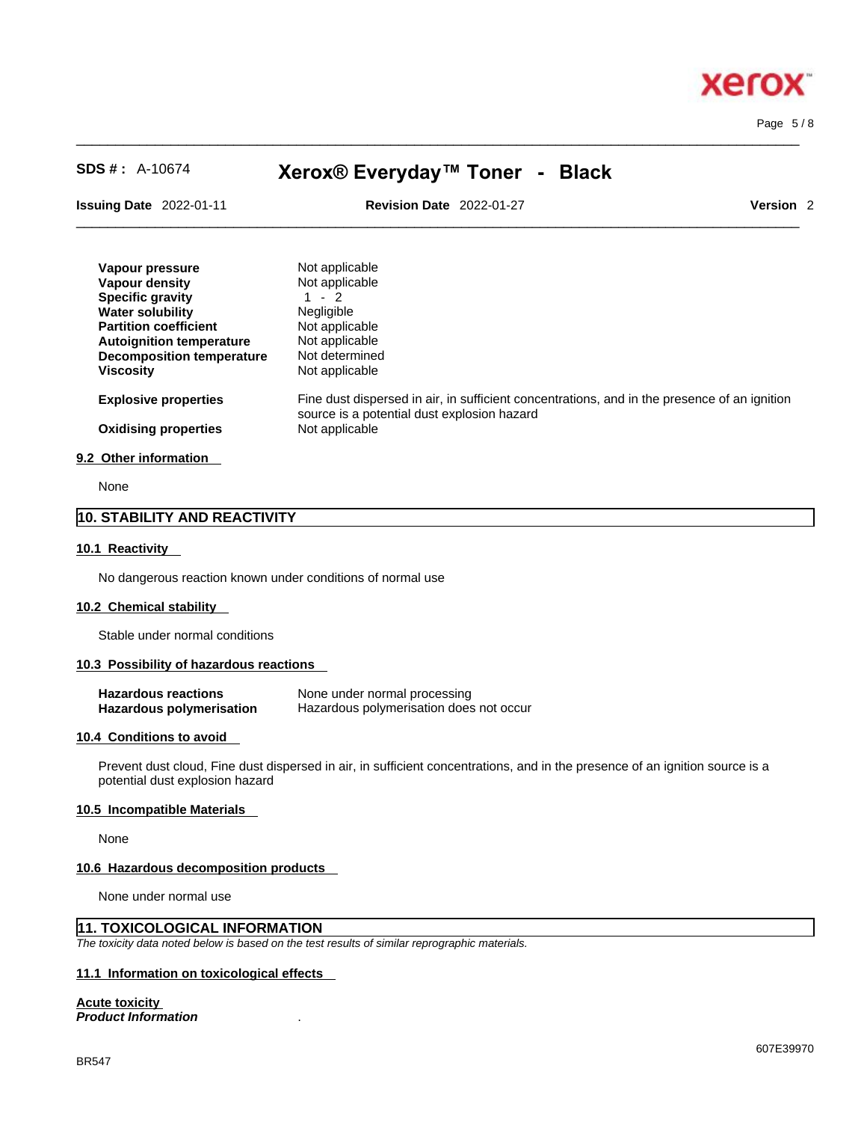Page 5 / 8

**xero** 

# **SDS # :** A-10674 **Xerox® Everyday™ Toner - Black**

 $\_$  ,  $\_$  ,  $\_$  ,  $\_$  ,  $\_$  ,  $\_$  ,  $\_$  ,  $\_$  ,  $\_$  ,  $\_$  ,  $\_$  ,  $\_$  ,  $\_$  ,  $\_$  ,  $\_$  ,  $\_$  ,  $\_$  ,  $\_$  ,  $\_$  ,  $\_$  ,  $\_$  ,  $\_$  ,  $\_$  ,  $\_$  ,  $\_$  ,  $\_$  ,  $\_$  ,  $\_$  ,  $\_$  ,  $\_$  ,  $\_$  ,  $\_$  ,  $\_$  ,  $\_$  ,  $\_$  ,  $\_$  ,  $\_$  ,

**Issuing Date** 2022-01-11 **Revision Date** 2022-01-27 **Version** 2

 $\_$  ,  $\_$  ,  $\_$  ,  $\_$  ,  $\_$  ,  $\_$  ,  $\_$  ,  $\_$  ,  $\_$  ,  $\_$  ,  $\_$  ,  $\_$  ,  $\_$  ,  $\_$  ,  $\_$  ,  $\_$  ,  $\_$  ,  $\_$  ,  $\_$  ,  $\_$  ,  $\_$  ,  $\_$  ,  $\_$  ,  $\_$  ,  $\_$  ,  $\_$  ,  $\_$  ,  $\_$  ,  $\_$  ,  $\_$  ,  $\_$  ,  $\_$  ,  $\_$  ,  $\_$  ,  $\_$  ,  $\_$  ,  $\_$  ,

| Vapour pressure<br>Vapour density<br><b>Specific gravity</b><br><b>Water solubility</b><br><b>Partition coefficient</b><br><b>Autoignition temperature</b><br>Decomposition temperature<br>Viscosity | Not applicable<br>Not applicable<br>1 - 2<br><b>Negligible</b><br>Not applicable<br>Not applicable<br>Not determined<br>Not applicable      |
|------------------------------------------------------------------------------------------------------------------------------------------------------------------------------------------------------|---------------------------------------------------------------------------------------------------------------------------------------------|
| <b>Explosive properties</b>                                                                                                                                                                          | Fine dust dispersed in air, in sufficient concentrations, and in the presence of an ignition<br>source is a potential dust explosion hazard |
| <b>Oxidising properties</b>                                                                                                                                                                          | Not applicable                                                                                                                              |

#### **9.2 Other information**

None

# **10. STABILITY AND REACTIVITY**

#### **10.1 Reactivity**

No dangerous reaction known under conditions of normal use

#### **10.2 Chemical stability**

Stable under normal conditions

#### **10.3 Possibility of hazardous reactions**

| <b>Hazardous reactions</b> | None under normal processing            |
|----------------------------|-----------------------------------------|
| Hazardous polymerisation   | Hazardous polymerisation does not occur |

#### **10.4 Conditions to avoid**

Prevent dust cloud, Fine dust dispersed in air, in sufficient concentrations, and in the presence of an ignition source is a potential dust explosion hazard

#### **10.5 Incompatible Materials**

None

#### **10.6 Hazardous decomposition products**

None under normal use

# **11. TOXICOLOGICAL INFORMATION**

*The toxicity data noted below is based on the test results of similar reprographic materials.* 

# **11.1 Information on toxicological effects**

**Acute toxicity**

*Product Information* .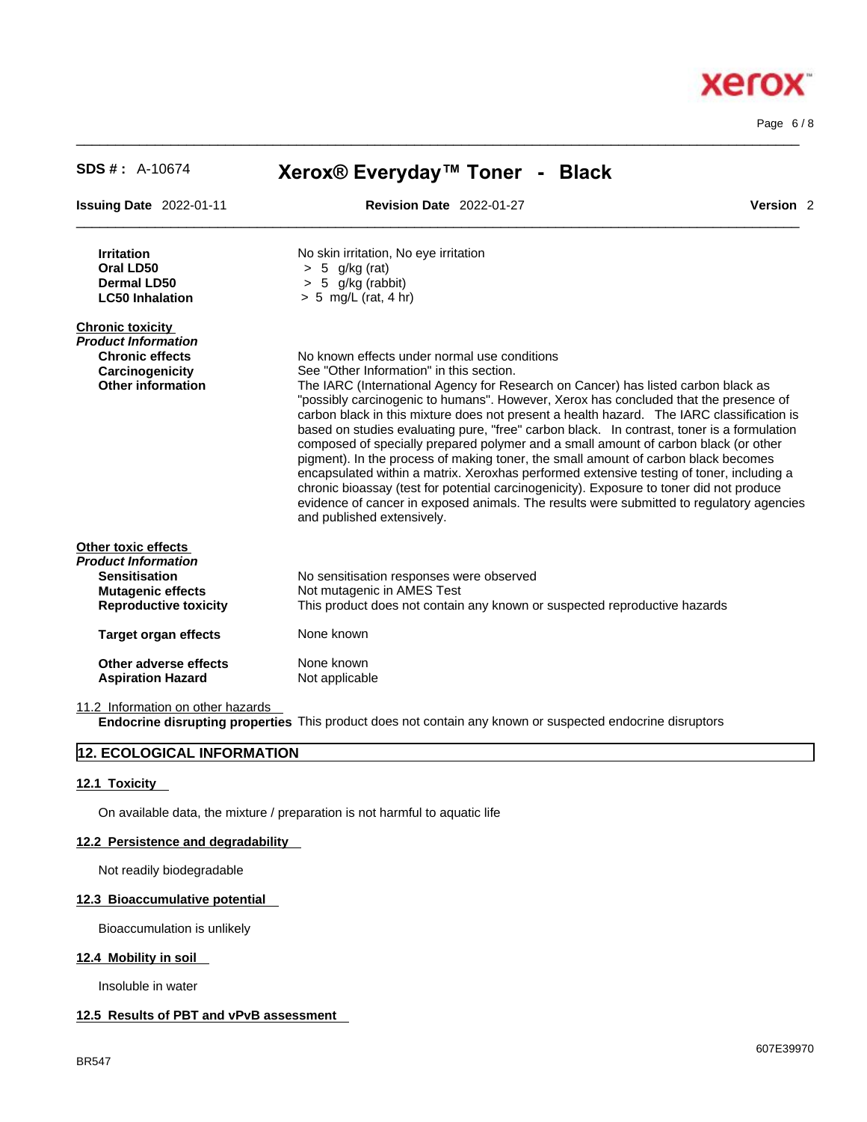$\_$  ,  $\_$  ,  $\_$  ,  $\_$  ,  $\_$  ,  $\_$  ,  $\_$  ,  $\_$  ,  $\_$  ,  $\_$  ,  $\_$  ,  $\_$  ,  $\_$  ,  $\_$  ,  $\_$  ,  $\_$  ,  $\_$  ,  $\_$  ,  $\_$  ,  $\_$  ,  $\_$  ,  $\_$  ,  $\_$  ,  $\_$  ,  $\_$  ,  $\_$  ,  $\_$  ,  $\_$  ,  $\_$  ,  $\_$  ,  $\_$  ,  $\_$  ,  $\_$  ,  $\_$  ,  $\_$  ,  $\_$  ,  $\_$  , **SDS # :** A-10674 **Xerox® Everyday™ Toner - Black Issuing Date** 2022-01-11 **Revision Date** 2022-01-27 **Version** 2 **Irritation** No skin irritation, No eye irritation **Oral LD50** > 5 g/kg (rat) **Dermal LD50** > 5 g/kg (rabbit) **LC50 Inhalation** > 5 mg/L (rat, 4 hr) **Chronic toxicity** *Product Information*  **Chronic effects** No known effects under normal use conditions **Carcinogenicity** See "Other Information" in this section. **Other information** The IARC (International Agency for Research on Cancer) has listed carbon black as "possibly carcinogenic to humans". However, Xerox has concluded that the presence of carbon black in this mixture does not present a health hazard. The IARC classification is based on studies evaluating pure, "free" carbon black. In contrast, toner is a formulation composed of specially prepared polymer and a small amount of carbon black (or other pigment). In the process of making toner, the small amount of carbon black becomes encapsulated within a matrix. Xeroxhas performed extensive testing of toner, including a chronic bioassay (test for potential carcinogenicity). Exposure to toner did not produce evidence of cancer in exposed animals. The results were submitted to regulatory agencies and published extensively. **Other toxic effects** *Product Information*  No sensitisation responses were observed **Mutagenic effects** Not mutagenic in AMES Test **Reproductive toxicity** This product does not contain any known or suspected reproductive hazards **Target organ effects** None known **Other adverse effects** None known<br> **Aspiration Hazard** Not applicable **Aspiration Hazard** 

 $\_$  ,  $\_$  ,  $\_$  ,  $\_$  ,  $\_$  ,  $\_$  ,  $\_$  ,  $\_$  ,  $\_$  ,  $\_$  ,  $\_$  ,  $\_$  ,  $\_$  ,  $\_$  ,  $\_$  ,  $\_$  ,  $\_$  ,  $\_$  ,  $\_$  ,  $\_$  ,  $\_$  ,  $\_$  ,  $\_$  ,  $\_$  ,  $\_$  ,  $\_$  ,  $\_$  ,  $\_$  ,  $\_$  ,  $\_$  ,  $\_$  ,  $\_$  ,  $\_$  ,  $\_$  ,  $\_$  ,  $\_$  ,  $\_$  ,

11.2 Information on other hazards **Endocrine disrupting properties** This product does not contain any known or suspected endocrine disruptors

# **12. ECOLOGICAL INFORMATION**

# **12.1 Toxicity**

On available data, the mixture / preparation is not harmful to aquatic life

# **12.2 Persistence and degradability**

Not readily biodegradable

# **12.3 Bioaccumulative potential**

Bioaccumulation is unlikely

# **12.4 Mobility in soil**

Insoluble in water

# **12.5 Results of PBT and vPvB assessment**

# xero

Page 6 / 8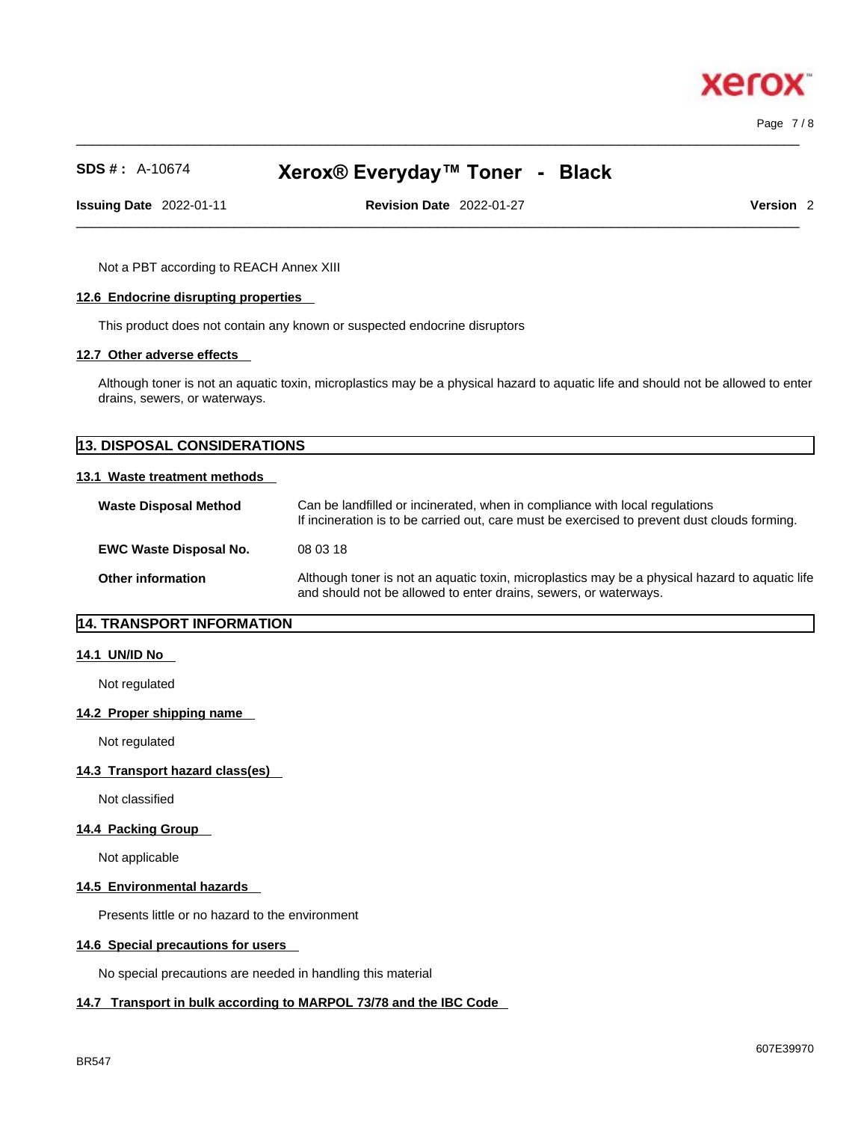$\_$  ,  $\_$  ,  $\_$  ,  $\_$  ,  $\_$  ,  $\_$  ,  $\_$  ,  $\_$  ,  $\_$  ,  $\_$  ,  $\_$  ,  $\_$  ,  $\_$  ,  $\_$  ,  $\_$  ,  $\_$  ,  $\_$  ,  $\_$  ,  $\_$  ,  $\_$  ,  $\_$  ,  $\_$  ,  $\_$  ,  $\_$  ,  $\_$  ,  $\_$  ,  $\_$  ,  $\_$  ,  $\_$  ,  $\_$  ,  $\_$  ,  $\_$  ,  $\_$  ,  $\_$  ,  $\_$  ,  $\_$  ,  $\_$  , Page 7 / 8

xero

# **SDS # :** A-10674 **Xerox® Everyday™ Toner - Black**

**Issuing Date** 2022-01-11 **Revision Date** 2022-01-27 **Version** 2

 $\_$  ,  $\_$  ,  $\_$  ,  $\_$  ,  $\_$  ,  $\_$  ,  $\_$  ,  $\_$  ,  $\_$  ,  $\_$  ,  $\_$  ,  $\_$  ,  $\_$  ,  $\_$  ,  $\_$  ,  $\_$  ,  $\_$  ,  $\_$  ,  $\_$  ,  $\_$  ,  $\_$  ,  $\_$  ,  $\_$  ,  $\_$  ,  $\_$  ,  $\_$  ,  $\_$  ,  $\_$  ,  $\_$  ,  $\_$  ,  $\_$  ,  $\_$  ,  $\_$  ,  $\_$  ,  $\_$  ,  $\_$  ,  $\_$  ,

Not a PBT according to REACH Annex XIII

#### **12.6 Endocrine disrupting properties**

This product does not contain any known or suspected endocrine disruptors

#### **12.7 Other adverse effects**

Although toner is not an aquatic toxin, microplastics may be a physical hazard to aquatic life and should not be allowed to enter drains, sewers, or waterways.

| <b>13. DISPOSAL CONSIDERATIONS</b> |  |
|------------------------------------|--|
|                                    |  |
| 13.1 Waste treatment methods       |  |

| <b>Waste Disposal Method</b>  | Can be landfilled or incinerated, when in compliance with local regulations<br>If incineration is to be carried out, care must be exercised to prevent dust clouds forming. |
|-------------------------------|-----------------------------------------------------------------------------------------------------------------------------------------------------------------------------|
| <b>EWC Waste Disposal No.</b> | 08 03 18                                                                                                                                                                    |
| <b>Other information</b>      | Although toner is not an aquatic toxin, microplastics may be a physical hazard to aquatic life<br>and should not be allowed to enter drains, sewers, or waterways.          |

# **14. TRANSPORT INFORMATION**

#### **14.1 UN/ID No**

Not regulated

#### **14.2 Proper shipping name**

Not regulated

## **14.3 Transport hazard class(es)**

Not classified

#### **14.4 Packing Group**

Not applicable

#### **14.5 Environmental hazards**

Presents little or no hazard to the environment

#### **14.6 Special precautions for users**

No special precautions are needed in handling this material

#### **14.7 Transport in bulk according to MARPOL 73/78 and the IBC Code**